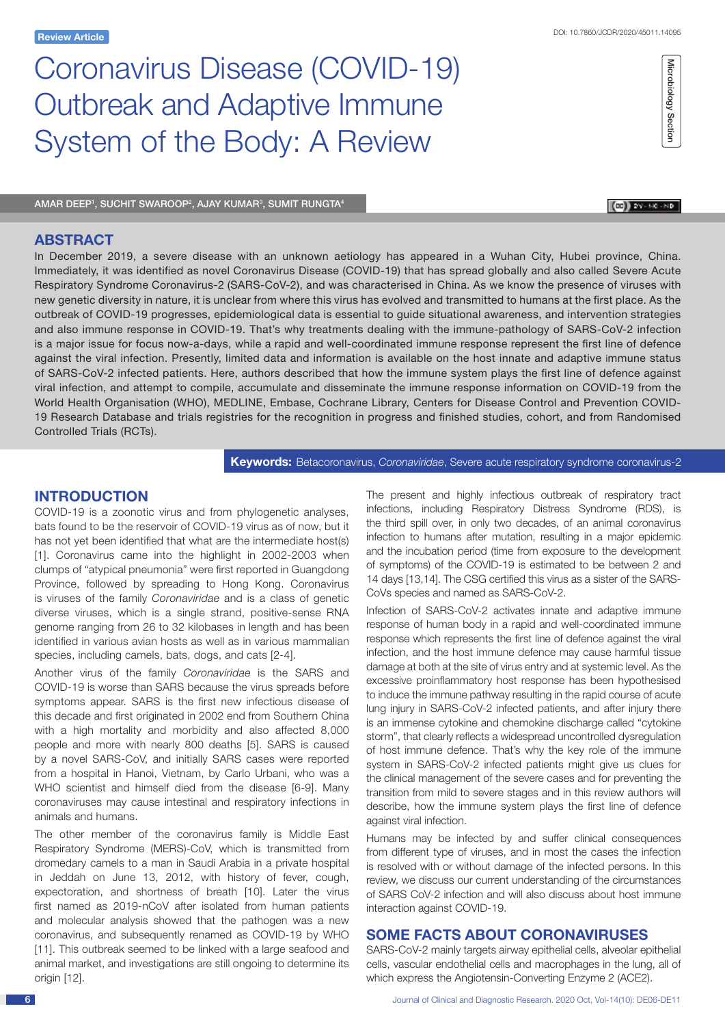# Microbiology Section Microbiology Section

 $\left[\bigcircled{0}\right]$  by - MC -ND

# Coronavirus Disease (COVID-19) Outbreak and Adaptive Immune System of the Body: A Review

AMAR DEEP', SUCHIT SWAROOP<sup>2</sup>, AJAY KUMAR<sup>3</sup>, SUMIT RUNGTA<sup>4</sup>

## **ABSTRACT**

In December 2019, a severe disease with an unknown aetiology has appeared in a Wuhan City, Hubei province, China. Immediately, it was identified as novel Coronavirus Disease (COVID-19) that has spread globally and also called Severe Acute Respiratory Syndrome Coronavirus-2 (SARS-CoV-2), and was characterised in China. As we know the presence of viruses with new genetic diversity in nature, it is unclear from where this virus has evolved and transmitted to humans at the first place. As the outbreak of COVID-19 progresses, epidemiological data is essential to guide situational awareness, and intervention strategies and also immune response in COVID-19. That's why treatments dealing with the immune-pathology of SARS-CoV-2 infection is a major issue for focus now-a-days, while a rapid and well-coordinated immune response represent the first line of defence against the viral infection. Presently, limited data and information is available on the host innate and adaptive immune status of SARS-CoV-2 infected patients. Here, authors described that how the immune system plays the first line of defence against viral infection, and attempt to compile, accumulate and disseminate the immune response information on COVID-19 from the World Health Organisation (WHO), MEDLINE, Embase, Cochrane Library, Centers for Disease Control and Prevention COVID-19 Research Database and trials registries for the recognition in progress and finished studies, cohort, and from Randomised Controlled Trials (RCTs).

**Keywords:** Betacoronavirus, *Coronaviridae*, Severe acute respiratory syndrome coronavirus-2

# **INTRODUCTION**

COVID-19 is a zoonotic virus and from phylogenetic analyses, bats found to be the reservoir of COVID-19 virus as of now, but it has not yet been identified that what are the intermediate host(s) [1]. Coronavirus came into the highlight in 2002-2003 when clumps of "atypical pneumonia" were first reported in Guangdong Province, followed by spreading to Hong Kong. Coronavirus is viruses of the family *Coronaviridae* and is a class of genetic diverse viruses, which is a single strand, positive-sense RNA genome ranging from 26 to 32 kilobases in length and has been identified in various avian hosts as well as in various mammalian species, including camels, bats, dogs, and cats [2-4].

Another virus of the family *Coronaviridae* is the SARS and COVID-19 is worse than SARS because the virus spreads before symptoms appear. SARS is the first new infectious disease of this decade and first originated in 2002 end from Southern China with a high mortality and morbidity and also affected 8,000 people and more with nearly 800 deaths [5]. SARS is caused by a novel SARS-CoV, and initially SARS cases were reported from a hospital in Hanoi, Vietnam, by Carlo Urbani, who was a WHO scientist and himself died from the disease [6-9]. Many coronaviruses may cause intestinal and respiratory infections in animals and humans.

The other member of the coronavirus family is Middle East Respiratory Syndrome (MERS)-CoV, which is transmitted from dromedary camels to a man in Saudi Arabia in a private hospital in Jeddah on June 13, 2012, with history of fever, cough, expectoration, and shortness of breath [10]. Later the virus first named as 2019-nCoV after isolated from human patients and molecular analysis showed that the pathogen was a new coronavirus, and subsequently renamed as COVID-19 by WHO [11]. This outbreak seemed to be linked with a large seafood and animal market, and investigations are still ongoing to determine its origin [12].

The present and highly infectious outbreak of respiratory tract infections, including Respiratory Distress Syndrome (RDS), is the third spill over, in only two decades, of an animal coronavirus infection to humans after mutation, resulting in a major epidemic and the incubation period (time from exposure to the development of symptoms) of the COVID-19 is estimated to be between 2 and 14 days [13,14]. The CSG certified this virus as a sister of the SARS-CoVs species and named as SARS-CoV-2.

Infection of SARS-CoV-2 activates innate and adaptive immune response of human body in a rapid and well-coordinated immune response which represents the first line of defence against the viral infection, and the host immune defence may cause harmful tissue damage at both at the site of virus entry and at systemic level. As the excessive proinflammatory host response has been hypothesised to induce the immune pathway resulting in the rapid course of acute lung injury in SARS-CoV-2 infected patients, and after injury there is an immense cytokine and chemokine discharge called "cytokine storm", that clearly reflects a widespread uncontrolled dysregulation of host immune defence. That's why the key role of the immune system in SARS-CoV-2 infected patients might give us clues for the clinical management of the severe cases and for preventing the transition from mild to severe stages and in this review authors will describe, how the immune system plays the first line of defence against viral infection.

Humans may be infected by and suffer clinical consequences from different type of viruses, and in most the cases the infection is resolved with or without damage of the infected persons. In this review, we discuss our current understanding of the circumstances of SARS CoV-2 infection and will also discuss about host immune interaction against COVID-19.

# **Some Facts about Coronaviruses**

SARS-CoV-2 mainly targets airway epithelial cells, alveolar epithelial cells, vascular endothelial cells and macrophages in the lung, all of which express the Angiotensin-Converting Enzyme 2 (ACE2).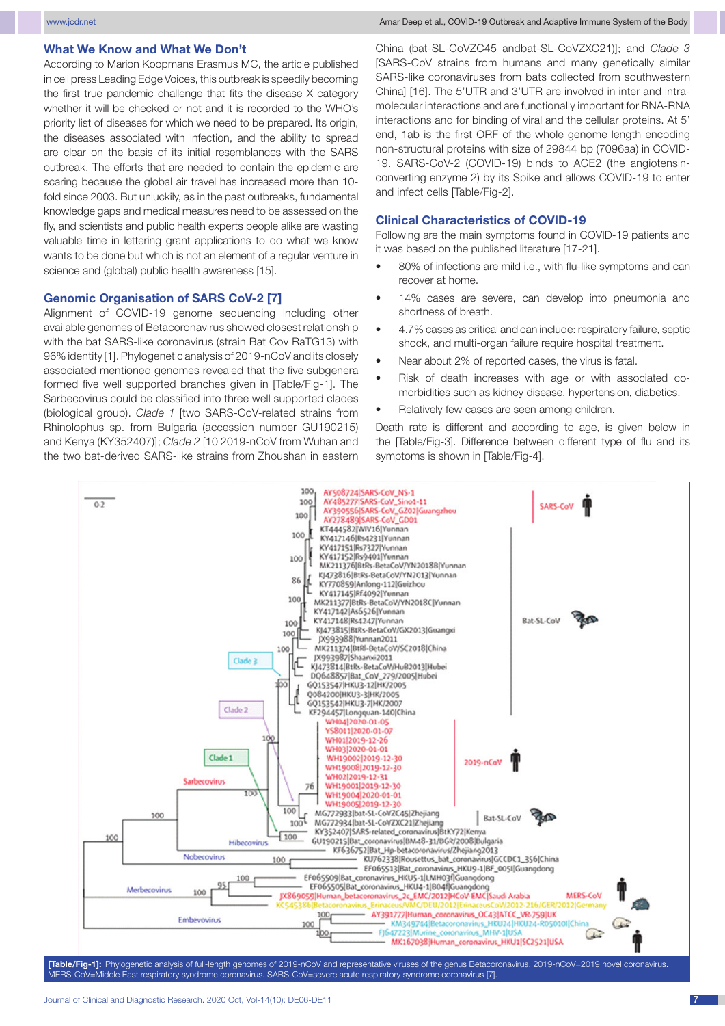#### **What We Know and What We Don't**

According to Marion Koopmans Erasmus MC, the article published in cell press Leading Edge Voices, this outbreak is speedily becoming the first true pandemic challenge that fits the disease X category whether it will be checked or not and it is recorded to the WHO's priority list of diseases for which we need to be prepared. Its origin, the diseases associated with infection, and the ability to spread are clear on the basis of its initial resemblances with the SARS outbreak. The efforts that are needed to contain the epidemic are scaring because the global air travel has increased more than 10 fold since 2003. But unluckily, as in the past outbreaks, fundamental knowledge gaps and medical measures need to be assessed on the fly, and scientists and public health experts people alike are wasting valuable time in lettering grant applications to do what we know wants to be done but which is not an element of a regular venture in science and (global) public health awareness [15].

#### **Genomic Organisation of SARS CoV-2 [7]**

Alignment of COVID-19 genome sequencing including other available genomes of Betacoronavirus showed closest relationship with the bat SARS-like coronavirus (strain Bat Cov RaTG13) with 96% identity [1]. Phylogenetic analysis of 2019-nCoV and its closely associated mentioned genomes revealed that the five subgenera formed five well supported branches given in [Table/Fig-1]. The Sarbecovirus could be classified into three well supported clades (biological group). *Clade 1* [two SARS-CoV-related strains from Rhinolophus sp. from Bulgaria (accession number GU190215) and Kenya (KY352407)]; *Clade 2* [10 2019-nCoV from Wuhan and the two bat-derived SARS-like strains from Zhoushan in eastern China (bat-SL-CoVZC45 andbat-SL-CoVZXC21)]; and *Clade 3* [SARS-CoV strains from humans and many genetically similar SARS-like coronaviruses from bats collected from southwestern China] [16]. The 5'UTR and 3'UTR are involved in inter and intramolecular interactions and are functionally important for RNA-RNA interactions and for binding of viral and the cellular proteins. At 5' end, 1ab is the first ORF of the whole genome length encoding non-structural proteins with size of 29844 bp (7096aa) in COVID-19. SARS-CoV-2 (COVID-19) binds to ACE2 (the angiotensinconverting enzyme 2) by its Spike and allows COVID-19 to enter and infect cells [Table/Fig-2].

#### **Clinical Characteristics of COVID-19**

Following are the main symptoms found in COVID-19 patients and it was based on the published literature [17-21].

- 80% of infections are mild i.e., with flu-like symptoms and can recover at home.
- 14% cases are severe, can develop into pneumonia and shortness of breath.
- 4.7% cases as critical and can include: respiratory failure, septic shock, and multi-organ failure require hospital treatment.
- Near about 2% of reported cases, the virus is fatal.
- Risk of death increases with age or with associated comorbidities such as kidney disease, hypertension, diabetics.
- Relatively few cases are seen among children.

Death rate is different and according to age, is given below in the [Table/Fig-3]. Difference between different type of flu and its symptoms is shown in [Table/Fig-4].

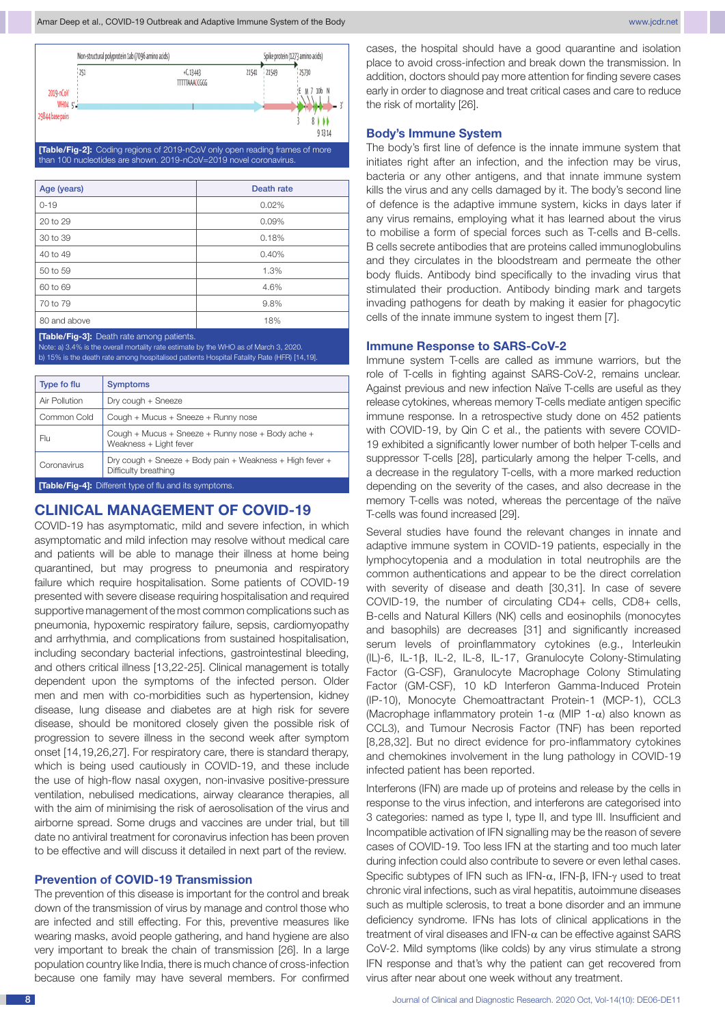

**[Table/Fig-2]:** Coding regions of 2019-nCoV only open reading frames of more han 100 nucleotides are shown. 2019-nCoV=2019 novel coronavirus.

| Age (years)  | Death rate |
|--------------|------------|
| $0 - 19$     | 0.02%      |
| 20 to 29     | 0.09%      |
| 30 to 39     | 0.18%      |
| 40 to 49     | 0.40%      |
| 50 to 59     | 1.3%       |
| 60 to 69     | 4.6%       |
| 70 to 79     | 9.8%       |
| 80 and above | 18%        |

**[Table/Fig-3]:** Death rate among patients.

Note: a) 3.4% is the overall mortality rate estimate by the WHO as of March 3, 2020. b) 15% is the death rate among hospitalised patients Hospital Fatality Rate (HFR) [14,19].

| Type fo flu                                                  | <b>Symptoms</b>                                                                  |  |
|--------------------------------------------------------------|----------------------------------------------------------------------------------|--|
| Air Pollution                                                | Dry cough + Sneeze                                                               |  |
| Common Cold                                                  | Cough + Mucus + Sneeze + Runny nose                                              |  |
| Flu                                                          | Cough + Mucus + Sneeze + Runny nose + Body ache +<br>Weakness + Light fever      |  |
| Coronavirus                                                  | Dry cough + Sneeze + Body pain + Weakness + High fever +<br>Difficulty breathing |  |
| <b>Table/Fig-41:</b> Different type of flu and its symptoms. |                                                                                  |  |

## **Clinical Management of Covid-19**

COVID-19 has asymptomatic, mild and severe infection, in which asymptomatic and mild infection may resolve without medical care and patients will be able to manage their illness at home being quarantined, but may progress to pneumonia and respiratory failure which require hospitalisation. Some patients of COVID-19 presented with severe disease requiring hospitalisation and required supportive management of the most common complications such as pneumonia, hypoxemic respiratory failure, sepsis, cardiomyopathy and arrhythmia, and complications from sustained hospitalisation, including secondary bacterial infections, gastrointestinal bleeding, and others critical illness [13,22-25]. Clinical management is totally dependent upon the symptoms of the infected person. Older men and men with co-morbidities such as hypertension, kidney disease, lung disease and diabetes are at high risk for severe disease, should be monitored closely given the possible risk of progression to severe illness in the second week after symptom onset [14,19,26,27]. For respiratory care, there is standard therapy, which is being used cautiously in COVID-19, and these include the use of high-flow nasal oxygen, non-invasive positive-pressure ventilation, nebulised medications, airway clearance therapies, all with the aim of minimising the risk of aerosolisation of the virus and airborne spread. Some drugs and vaccines are under trial, but till date no antiviral treatment for coronavirus infection has been proven to be effective and will discuss it detailed in next part of the review.

#### **Prevention of COVID-19 Transmission**

The prevention of this disease is important for the control and break down of the transmission of virus by manage and control those who are infected and still effecting. For this, preventive measures like wearing masks, avoid people gathering, and hand hygiene are also very important to break the chain of transmission [26]. In a large population country like India, there is much chance of cross-infection because one family may have several members. For confirmed cases, the hospital should have a good quarantine and isolation place to avoid cross-infection and break down the transmission. In addition, doctors should pay more attention for finding severe cases early in order to diagnose and treat critical cases and care to reduce the risk of mortality [26].

#### **Body's Immune System**

The body's first line of defence is the innate immune system that initiates right after an infection, and the infection may be virus, bacteria or any other antigens, and that innate immune system kills the virus and any cells damaged by it. The body's second line of defence is the adaptive immune system, kicks in days later if any virus remains, employing what it has learned about the virus to mobilise a form of special forces such as T-cells and B-cells. B cells secrete antibodies that are proteins called immunoglobulins and they circulates in the bloodstream and permeate the other body fluids. Antibody bind specifically to the invading virus that stimulated their production. Antibody binding mark and targets invading pathogens for death by making it easier for phagocytic cells of the innate immune system to ingest them [7].

#### **Immune Response to SARS-CoV-2**

Immune system T-cells are called as immune warriors, but the role of T-cells in fighting against SARS-CoV-2, remains unclear. Against previous and new infection Naïve T-cells are useful as they release cytokines, whereas memory T-cells mediate antigen specific immune response. In a retrospective study done on 452 patients with COVID-19, by Qin C et al., the patients with severe COVID-19 exhibited a significantly lower number of both helper T-cells and suppressor T-cells [28], particularly among the helper T-cells, and a decrease in the regulatory T-cells, with a more marked reduction depending on the severity of the cases, and also decrease in the memory T-cells was noted, whereas the percentage of the naïve T-cells was found increased [29].

Several studies have found the relevant changes in innate and adaptive immune system in COVID-19 patients, especially in the lymphocytopenia and a modulation in total neutrophils are the common authentications and appear to be the direct correlation with severity of disease and death [30,31]. In case of severe COVID-19, the number of circulating CD4+ cells, CD8+ cells, B-cells and Natural Killers (NK) cells and eosinophils (monocytes and basophils) are decreases [31] and significantly increased serum levels of proinflammatory cytokines (e.g., Interleukin (IL)-6, IL-1β, IL-2, IL-8, IL-17, Granulocyte Colony-Stimulating Factor (G-CSF), Granulocyte Macrophage Colony Stimulating Factor (GM-CSF), 10 kD Interferon Gamma-Induced Protein (IP-10), Monocyte Chemoattractant Protein-1 (MCP-1), CCL3 (Macrophage inflammatory protein 1- $\alpha$  (MIP 1- $\alpha$ ) also known as CCL3), and Tumour Necrosis Factor (TNF) has been reported [8,28,32]. But no direct evidence for pro-inflammatory cytokines and chemokines involvement in the lung pathology in COVID-19 infected patient has been reported.

Interferons (IFN) are made up of proteins and release by the cells in response to the virus infection, and interferons are categorised into 3 categories: named as type I, type II, and type III. Insufficient and Incompatible activation of IFN signalling may be the reason of severe cases of COVID-19. Too less IFN at the starting and too much later during infection could also contribute to severe or even lethal cases. Specific subtypes of IFN such as IFN-α, IFN-β, IFN-γ used to treat chronic viral infections, such as viral hepatitis, autoimmune diseases such as multiple sclerosis, to treat a bone disorder and an immune deficiency syndrome. IFNs has lots of clinical applications in the treatment of viral diseases and IFN-α can be effective against SARS CoV-2. Mild symptoms (like colds) by any virus stimulate a strong IFN response and that's why the patient can get recovered from virus after near about one week without any treatment.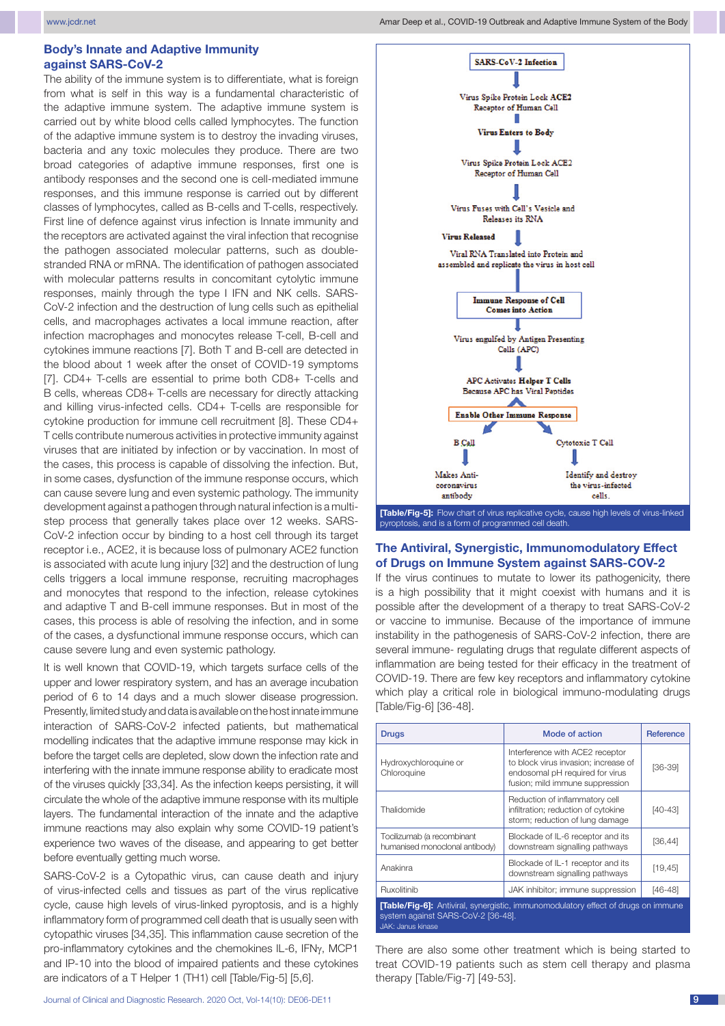#### **Body's Innate and Adaptive Immunity against SARS-CoV-2**

The ability of the immune system is to differentiate, what is foreign from what is self in this way is a fundamental characteristic of the adaptive immune system. The adaptive immune system is carried out by white blood cells called lymphocytes. The function of the adaptive immune system is to destroy the invading viruses, bacteria and any toxic molecules they produce. There are two broad categories of adaptive immune responses, first one is antibody responses and the second one is cell-mediated immune responses, and this immune response is carried out by different classes of lymphocytes, called as B-cells and T-cells, respectively. First line of defence against virus infection is Innate immunity and the receptors are activated against the viral infection that recognise the pathogen associated molecular patterns, such as doublestranded RNA or mRNA. The identification of pathogen associated with molecular patterns results in concomitant cytolytic immune responses, mainly through the type I IFN and NK cells. SARS-CoV-2 infection and the destruction of lung cells such as epithelial cells, and macrophages activates a local immune reaction, after infection macrophages and monocytes release T-cell, B-cell and cytokines immune reactions [7]. Both T and B-cell are detected in the blood about 1 week after the onset of COVID-19 symptoms [7]. CD4+ T-cells are essential to prime both CD8+ T-cells and B cells, whereas CD8+ T-cells are necessary for directly attacking and killing virus-infected cells. CD4+ T-cells are responsible for cytokine production for immune cell recruitment [8]. These CD4+ T cells contribute numerous activities in protective immunity against viruses that are initiated by infection or by vaccination. In most of the cases, this process is capable of dissolving the infection. But, in some cases, dysfunction of the immune response occurs, which can cause severe lung and even systemic pathology. The immunity development against a pathogen through natural infection is a multistep process that generally takes place over 12 weeks. SARS-CoV-2 infection occur by binding to a host cell through its target receptor i.e., ACE2, it is because loss of pulmonary ACE2 function is associated with acute lung injury [32] and the destruction of lung cells triggers a local immune response, recruiting macrophages and monocytes that respond to the infection, release cytokines and adaptive T and B-cell immune responses. But in most of the cases, this process is able of resolving the infection, and in some of the cases, a dysfunctional immune response occurs, which can cause severe lung and even systemic pathology.

It is well known that COVID-19, which targets surface cells of the upper and lower respiratory system, and has an average incubation period of 6 to 14 days and a much slower disease progression. Presently, limited study and data is available on the host innate immune interaction of SARS-CoV-2 infected patients, but mathematical modelling indicates that the adaptive immune response may kick in before the target cells are depleted, slow down the infection rate and interfering with the innate immune response ability to eradicate most of the viruses quickly [33,34]. As the infection keeps persisting, it will circulate the whole of the adaptive immune response with its multiple layers. The fundamental interaction of the innate and the adaptive immune reactions may also explain why some COVID-19 patient's experience two waves of the disease, and appearing to get better before eventually getting much worse.

SARS-CoV-2 is a Cytopathic virus, can cause death and injury of virus-infected cells and tissues as part of the virus replicative cycle, cause high levels of virus-linked pyroptosis, and is a highly inflammatory form of programmed cell death that is usually seen with cytopathic viruses [34,35]. This inflammation cause secretion of the pro-inflammatory cytokines and the chemokines IL-6, IFNγ, MCP1 and IP-10 into the blood of impaired patients and these cytokines are indicators of a T Helper 1 (TH1) cell [Table/Fig-5] [5,6].



#### **The Antiviral, Synergistic, Immunomodulatory Effect of Drugs on Immune System against SARS-COV-2**

If the virus continues to mutate to lower its pathogenicity, there is a high possibility that it might coexist with humans and it is possible after the development of a therapy to treat SARS-CoV-2 or vaccine to immunise. Because of the importance of immune instability in the pathogenesis of SARS-CoV-2 infection, there are several immune- regulating drugs that regulate different aspects of inflammation are being tested for their efficacy in the treatment of COVID-19. There are few key receptors and inflammatory cytokine which play a critical role in biological immuno-modulating drugs [Table/Fig-6] [36-48].

| <b>Drugs</b>                                                                                                                                              | Mode of action                                                                                                                                | <b>Reference</b> |
|-----------------------------------------------------------------------------------------------------------------------------------------------------------|-----------------------------------------------------------------------------------------------------------------------------------------------|------------------|
| Hydroxychloroquine or<br>Chloroquine                                                                                                                      | Interference with ACE2 receptor<br>to block virus invasion; increase of<br>endosomal pH required for virus<br>fusion; mild immune suppression | $[36-39]$        |
| Thalidomide                                                                                                                                               | Reduction of inflammatory cell<br>infiltration; reduction of cytokine<br>storm; reduction of lung damage                                      | $[40-43]$        |
| Tocilizumab (a recombinant<br>humanised monoclonal antibody)                                                                                              | Blockade of IL-6 receptor and its<br>downstream signalling pathways                                                                           | [36, 44]         |
| Anakinra                                                                                                                                                  | Blockade of IL-1 receptor and its<br>downstream signalling pathways                                                                           | [19, 45]         |
| Ruxolitinib                                                                                                                                               | JAK inhibitor; immune suppression                                                                                                             | $[46 - 48]$      |
| <b>Table/Fig-6]:</b> Antiviral, synergistic, immunomodulatory effect of drugs on immune<br>system against SARS-CoV-2 [36-48].<br><b>JAK: Janus kinase</b> |                                                                                                                                               |                  |

There are also some other treatment which is being started to treat COVID-19 patients such as stem cell therapy and plasma therapy [Table/Fig-7] [49-53].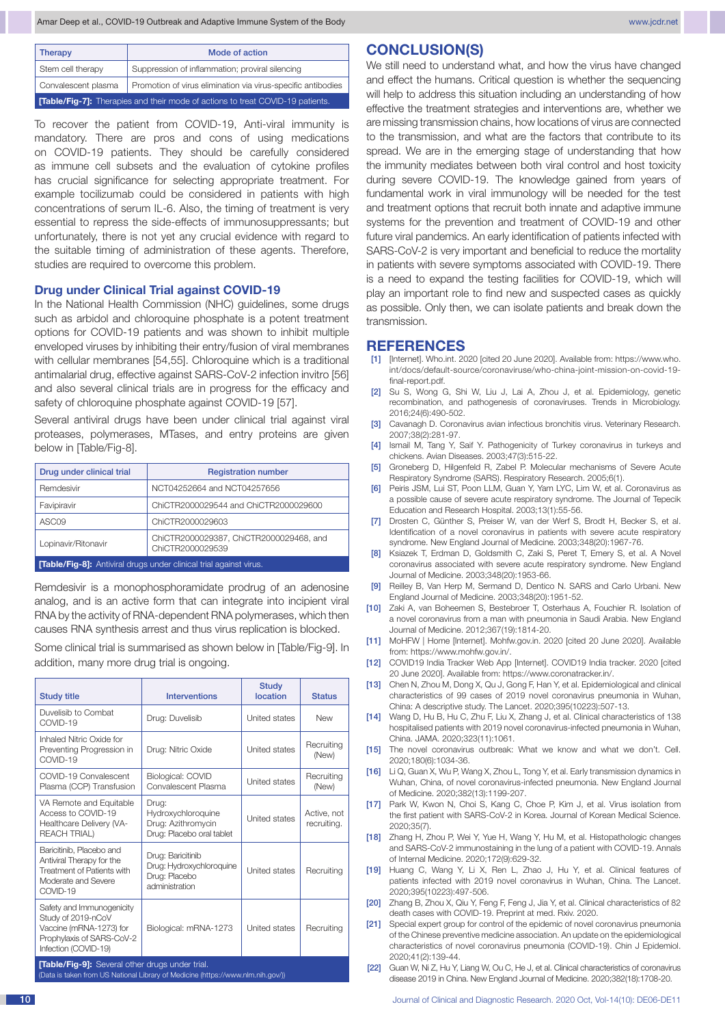| Therapy                                                                              | Mode of action                                               |  |
|--------------------------------------------------------------------------------------|--------------------------------------------------------------|--|
| Stem cell therapy                                                                    | Suppression of inflammation; proviral silencing              |  |
| Convalescent plasma                                                                  | Promotion of virus elimination via virus-specific antibodies |  |
| <b>Table/Fig-7]:</b> Therapies and their mode of actions to treat COVID-19 patients. |                                                              |  |

To recover the patient from COVID-19, Anti-viral immunity is mandatory. There are pros and cons of using medications on COVID-19 patients. They should be carefully considered as immune cell subsets and the evaluation of cytokine profiles has crucial significance for selecting appropriate treatment. For example tocilizumab could be considered in patients with high concentrations of serum IL-6. Also, the timing of treatment is very essential to repress the side-effects of immunosuppressants; but unfortunately, there is not yet any crucial evidence with regard to the suitable timing of administration of these agents. Therefore, studies are required to overcome this problem.

#### **Drug under Clinical Trial against COVID-19**

In the National Health Commission (NHC) guidelines, some drugs such as arbidol and chloroquine phosphate is a potent treatment options for COVID-19 patients and was shown to inhibit multiple enveloped viruses by inhibiting their entry/fusion of viral membranes with cellular membranes [54,55]. Chloroquine which is a traditional antimalarial drug, effective against SARS-CoV-2 infection invitro [56] and also several clinical trials are in progress for the efficacy and safety of chloroquine phosphate against COVID-19 [57].

Several antiviral drugs have been under clinical trial against viral proteases, polymerases, MTases, and entry proteins are given below in [Table/Fig-8].

| Drug under clinical trial                                                 | <b>Registration number</b>                                  |  |
|---------------------------------------------------------------------------|-------------------------------------------------------------|--|
| Remdesivir                                                                | NCT04252664 and NCT04257656                                 |  |
| Favipiravir                                                               | ChiCTR2000029544 and ChiCTR2000029600                       |  |
| ASC <sub>09</sub>                                                         | ChiCTR2000029603                                            |  |
| Lopinavir/Ritonavir                                                       | ChiCTR2000029387, ChiCTR2000029468, and<br>ChiCTR2000029539 |  |
| <b>[Table/Fig-8]:</b> Antiviral drugs under clinical trial against virus. |                                                             |  |

Remdesivir is a monophosphoramidate prodrug of an adenosine analog, and is an active form that can integrate into incipient viral RNA by the activity of RNA-dependent RNA polymerases, which then causes RNA synthesis arrest and thus virus replication is blocked.

Some clinical trial is summarised as shown below in [Table/Fig-9]. In addition, many more drug trial is ongoing.

| <b>Study title</b>                                                                                                              | <b>Interventions</b>                                                             | <b>Study</b><br>location | <b>Status</b>              |  |
|---------------------------------------------------------------------------------------------------------------------------------|----------------------------------------------------------------------------------|--------------------------|----------------------------|--|
| Duvelisib to Combat<br>COVID-19                                                                                                 | Drug: Duvelisib                                                                  | United states            | <b>New</b>                 |  |
| Inhaled Nitric Oxide for<br>Preventing Progression in<br>COVID-19                                                               | Drug: Nitric Oxide                                                               | <b>United states</b>     | Recruiting<br>(New)        |  |
| COVID-19 Convalescent<br>Plasma (CCP) Transfusion                                                                               | Biological: COVID<br>Convalescent Plasma                                         | <b>United states</b>     | Recruiting<br>(New)        |  |
| VA Remote and Equitable<br>Access to COVID-19<br>Healthcare Delivery (VA-<br><b>REACH TRIAL)</b>                                | Drug:<br>Hydroxychloroquine<br>Drug: Azithromycin<br>Drug: Placebo oral tablet   | <b>United states</b>     | Active, not<br>recruiting. |  |
| Baricitinib, Placebo and<br>Antiviral Therapy for the<br><b>Treatment of Patients with</b><br>Moderate and Severe<br>COVID-19   | Drug: Baricitinib<br>Drug: Hydroxychloroquine<br>Drug: Placebo<br>administration | United states            | Recruiting                 |  |
| Safety and Immunogenicity<br>Study of 2019-nCoV<br>Vaccine (mRNA-1273) for<br>Prophylaxis of SARS-CoV-2<br>Infection (COVID-19) | Biological: mRNA-1273                                                            | <b>United states</b>     | Recruiting                 |  |
| [Table/Fig-9]: Several other drugs under trial.                                                                                 |                                                                                  |                          |                            |  |

ta is taken from US National Library of Medicine (https://www.nlm.nih.gov/

# **CONCLUSION(S)**

We still need to understand what, and how the virus have changed and effect the humans. Critical question is whether the sequencing will help to address this situation including an understanding of how effective the treatment strategies and interventions are, whether we are missing transmission chains, how locations of virus are connected to the transmission, and what are the factors that contribute to its spread. We are in the emerging stage of understanding that how the immunity mediates between both viral control and host toxicity during severe COVID-19. The knowledge gained from years of fundamental work in viral immunology will be needed for the test and treatment options that recruit both innate and adaptive immune systems for the prevention and treatment of COVID-19 and other future viral pandemics. An early identification of patients infected with SARS-CoV-2 is very important and beneficial to reduce the mortality in patients with severe symptoms associated with COVID-19. There is a need to expand the testing facilities for COVID-19, which will play an important role to find new and suspected cases as quickly as possible. Only then, we can isolate patients and break down the transmission.

#### **REFERENCES**

- [1] [Internet]. Who.int. 2020 [cited 20 June 2020]. Available from: https://www.who. int/docs/default-source/coronaviruse/who-china-joint-mission-on-covid-19 final-report.pdf.
- [2] Su S, Wong G, Shi W, Liu J, Lai A, Zhou J, et al. Epidemiology, genetic recombination, and pathogenesis of coronaviruses. Trends in Microbiology. 2016;24(6):490-502.
- [3] Cavanagh D. Coronavirus avian infectious bronchitis virus. Veterinary Research. 2007;38(2):281-97.
- [4] Ismail M, Tang Y, Saif Y. Pathogenicity of Turkey coronavirus in turkeys and chickens. Avian Diseases. 2003;47(3):515-22.
- [5] Groneberg D, Hilgenfeld R, Zabel P. Molecular mechanisms of Severe Acute Respiratory Syndrome (SARS). Respiratory Research. 2005;6(1).
- [6] Peiris JSM, Lui ST, Poon LLM, Guan Y, Yam LYC, Lim W, et al. Coronavirus as a possible cause of severe acute respiratory syndrome. The Journal of Tepecik Education and Research Hospital. 2003;13(1):55-56.
- [7] Drosten C, Günther S, Preiser W, van der Werf S, Brodt H, Becker S, et al. Identification of a novel coronavirus in patients with severe acute respiratory syndrome. New England Journal of Medicine. 2003;348(20):1967-76.
- [8] Ksiazek T, Erdman D, Goldsmith C, Zaki S, Peret T, Emery S, et al. A Novel coronavirus associated with severe acute respiratory syndrome. New England Journal of Medicine. 2003;348(20):1953-66.
- [9] Reilley B, Van Herp M, Sermand D, Dentico N. SARS and Carlo Urbani. New England Journal of Medicine. 2003;348(20):1951-52.
- [10] Zaki A, van Boheemen S, Bestebroer T, Osterhaus A, Fouchier R. Isolation of a novel coronavirus from a man with pneumonia in Saudi Arabia. New England Journal of Medicine. 2012;367(19):1814-20.
- [11] MoHFW | Home [Internet]. Mohfw.gov.in. 2020 [cited 20 June 2020]. Available from: https://www.mohfw.gov.in/.
- [12] COVID19 India Tracker Web App [Internet]. COVID19 India tracker. 2020 [cited 20 June 2020]. Available from: https://www.coronatracker.in/.
- [13] Chen N, Zhou M, Dong X, Qu J, Gong F, Han Y, et al. Epidemiological and clinical characteristics of 99 cases of 2019 novel coronavirus pneumonia in Wuhan, China: A descriptive study. The Lancet. 2020;395(10223):507-13.
- [14] Wang D, Hu B, Hu C, Zhu F, Liu X, Zhang J, et al. Clinical characteristics of 138 hospitalised patients with 2019 novel coronavirus-infected pneumonia in Wuhan, China. JAMA. 2020;323(11):1061.
- [15] The novel coronavirus outbreak: What we know and what we don't. Cell. 2020;180(6):1034-36.
- [16] Li Q, Guan X, Wu P, Wang X, Zhou L, Tong Y, et al. Early transmission dynamics in Wuhan, China, of novel coronavirus-infected pneumonia. New England Journal of Medicine. 2020;382(13):1199-207.
- [17] Park W, Kwon N, Choi S, Kang C, Choe P, Kim J, et al. Virus isolation from the first patient with SARS-CoV-2 in Korea. Journal of Korean Medical Science. 2020;35(7).
- [18] Zhang H, Zhou P, Wei Y, Yue H, Wang Y, Hu M, et al. Histopathologic changes and SARS-CoV-2 immunostaining in the lung of a patient with COVID-19. Annals of Internal Medicine. 2020;172(9):629-32.
- [19] Huang C, Wang Y, Li X, Ren L, Zhao J, Hu Y, et al. Clinical features of patients infected with 2019 novel coronavirus in Wuhan, China. The Lancet. 2020;395(10223):497-506.
- [20] Zhang B, Zhou X, Qiu Y, Feng F, Feng J, Jia Y, et al. Clinical characteristics of 82 death cases with COVID-19. Preprint at med. Rxiv. 2020.
- [21] Special expert group for control of the epidemic of novel coronavirus pneumonia of the Chinese preventive medicine association. An update on the epidemiological characteristics of novel coronavirus pneumonia (COVID-19). Chin J Epidemiol. 2020;41(2):139-44.
- [22] Guan W, Ni Z, Hu Y, Liang W, Ou C, He J, et al. Clinical characteristics of coronavirus disease 2019 in China. New England Journal of Medicine. 2020;382(18):1708-20.